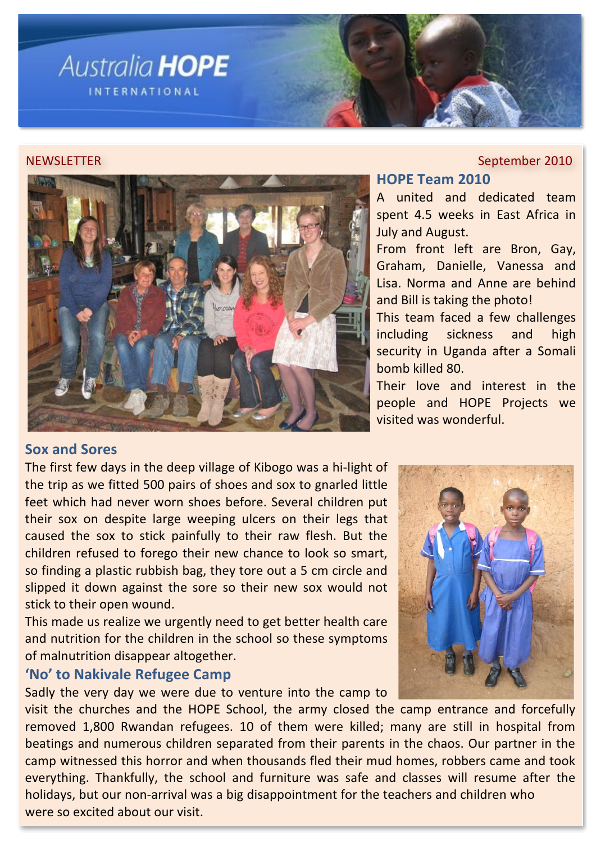

### **NEWSLETTER**

### September 2010

## **HOPE Team 2010**

A united and dedicated team spent 4.5 weeks in East Africa in **July and August.** 

From front left are Bron, Gay, Graham, Danielle, Vanessa and Lisa. Norma and Anne are behind and Bill is taking the photo!

This team faced a few challenges including sickness and high security in Uganda after a Somali bomb killed 80.

Their love and interest in the people and HOPE Projects we visited was wonderful.

### **Sox and Sores**

The first few days in the deep village of Kibogo was a hi-light of the trip as we fitted 500 pairs of shoes and sox to gnarled little feet which had never worn shoes before. Several children put their sox on despite large weeping ulcers on their legs that caused the sox to stick painfully to their raw flesh. But the children refused to forego their new chance to look so smart, so finding a plastic rubbish bag, they tore out a 5 cm circle and slipped it down against the sore so their new sox would not stick to their open wound.

This made us realize we urgently need to get better health care and nutrition for the children in the school so these symptoms of malnutrition disappear altogether.

## 'No' to Nakivale Refugee Camp

Sadly the very day we were due to venture into the camp to

visit the churches and the HOPE School, the army closed the camp entrance and forcefully removed 1,800 Rwandan refugees. 10 of them were killed; many are still in hospital from beatings and numerous children separated from their parents in the chaos. Our partner in the camp witnessed this horror and when thousands fled their mud homes, robbers came and took everything. Thankfully, the school and furniture was safe and classes will resume after the holidays, but our non-arrival was a big disappointment for the teachers and children who were so excited about our visit.

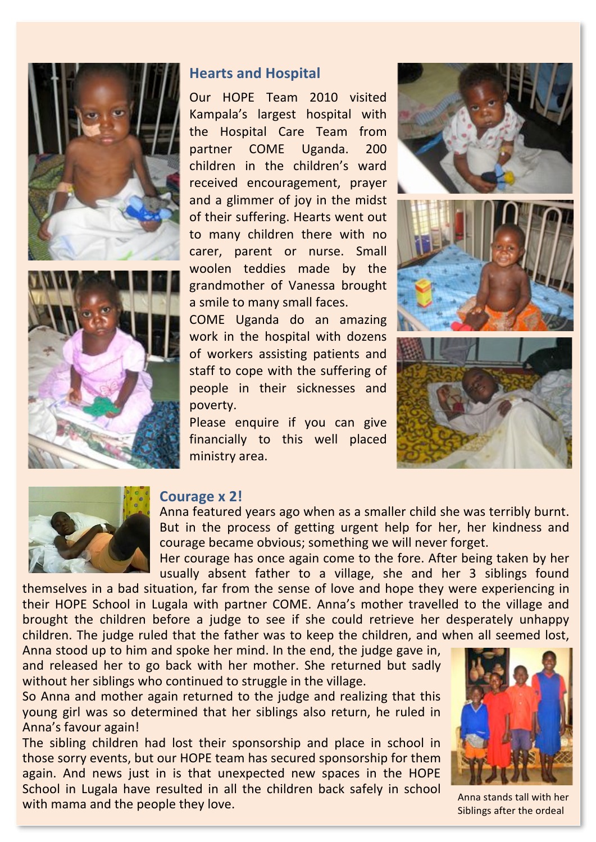



# **Hearts and Hospital**

Our HOPE Team 2010 visited Kampala's largest hospital with the Hospital Care Team from partner **COME** Uganda. 200 children in the children's ward received encouragement, prayer and a glimmer of joy in the midst of their suffering. Hearts went out to many children there with no carer, parent or nurse. Small woolen teddies made by the grandmother of Vanessa brought a smile to many small faces.

COME Uganda do an amazing work in the hospital with dozens of workers assisting patients and staff to cope with the suffering of people in their sicknesses and poverty.

Please enquire if you can give financially to this well placed ministry area.





### Courage x 2!

Anna featured years ago when as a smaller child she was terribly burnt. But in the process of getting urgent help for her, her kindness and courage became obvious; something we will never forget.

Her courage has once again come to the fore. After being taken by her usually absent father to a village, she and her 3 siblings found

themselves in a bad situation, far from the sense of love and hope they were experiencing in their HOPE School in Lugala with partner COME. Anna's mother travelled to the village and brought the children before a judge to see if she could retrieve her desperately unhappy children. The judge ruled that the father was to keep the children, and when all seemed lost,

Anna stood up to him and spoke her mind. In the end, the judge gave in, and released her to go back with her mother. She returned but sadly without her siblings who continued to struggle in the village.

So Anna and mother again returned to the judge and realizing that this young girl was so determined that her siblings also return, he ruled in Anna's favour again!

The sibling children had lost their sponsorship and place in school in those sorry events, but our HOPE team has secured sponsorship for them again. And news just in is that unexpected new spaces in the HOPE School in Lugala have resulted in all the children back safely in school with mama and the people they love.



Anna stands tall with her Siblings after the ordeal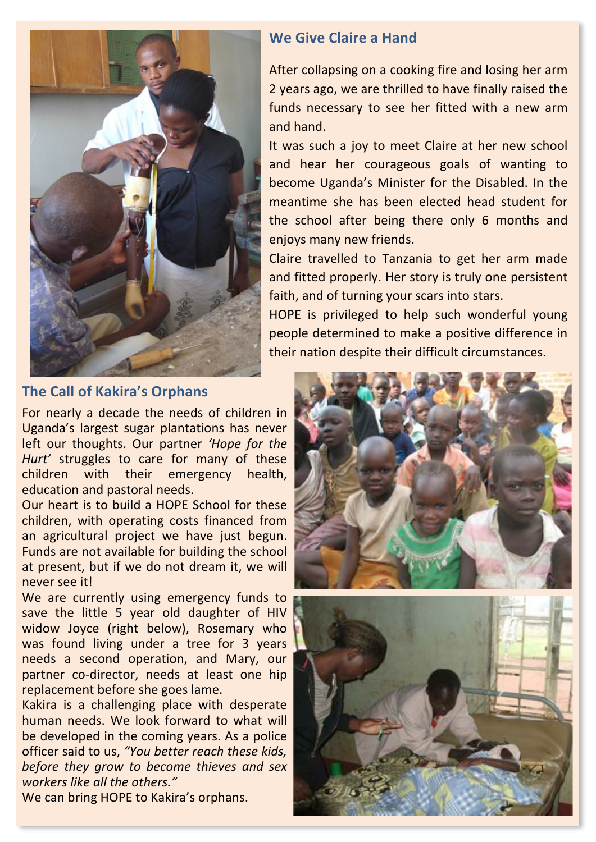

# **The Call of Kakira's Orphans**

For nearly a decade the needs of children in Uganda's largest sugar plantations has never left our thoughts. Our partner 'Hope for the Hurt' struggles to care for many of these children with their emergency health, education and pastoral needs.

Our heart is to build a HOPE School for these children, with operating costs financed from an agricultural project we have just begun. Funds are not available for building the school at present, but if we do not dream it, we will never see it!

We are currently using emergency funds to save the little 5 year old daughter of HIV widow Joyce (right below), Rosemary who was found living under a tree for 3 years needs a second operation, and Mary, our partner co-director, needs at least one hip replacement before she goes lame.

Kakira is a challenging place with desperate human needs. We look forward to what will be developed in the coming years. As a police officer said to us, "You better reach these kids, before they grow to become thieves and sex workers like all the others."

We can bring HOPE to Kakira's orphans.

### We Give Claire a Hand

After collapsing on a cooking fire and losing her arm 2 years ago, we are thrilled to have finally raised the funds necessary to see her fitted with a new arm and hand.

It was such a joy to meet Claire at her new school and hear her courageous goals of wanting to become Uganda's Minister for the Disabled. In the meantime she has been elected head student for the school after being there only 6 months and enjoys many new friends.

Claire travelled to Tanzania to get her arm made and fitted properly. Her story is truly one persistent faith, and of turning your scars into stars.

HOPE is privileged to help such wonderful young people determined to make a positive difference in their nation despite their difficult circumstances.